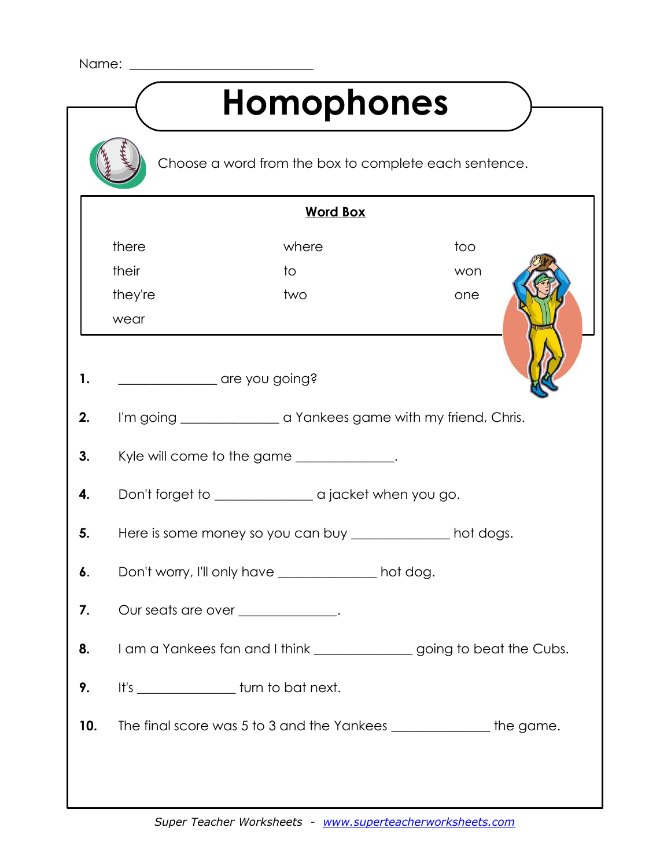| Name:                                                 |                                                                         |                                                                      |     |  |  |
|-------------------------------------------------------|-------------------------------------------------------------------------|----------------------------------------------------------------------|-----|--|--|
| <b>Homophones</b>                                     |                                                                         |                                                                      |     |  |  |
| Choose a word from the box to complete each sentence. |                                                                         |                                                                      |     |  |  |
| <b>Word Box</b>                                       |                                                                         |                                                                      |     |  |  |
|                                                       | there                                                                   | where                                                                | too |  |  |
|                                                       | their                                                                   | to                                                                   | won |  |  |
|                                                       | they're                                                                 | two                                                                  | one |  |  |
|                                                       | wear                                                                    |                                                                      |     |  |  |
|                                                       |                                                                         |                                                                      |     |  |  |
| 1.                                                    | are you going?                                                          |                                                                      |     |  |  |
| 2.                                                    | I'm going _______________________ a Yankees game with my friend, Chris. |                                                                      |     |  |  |
| 3.                                                    | Kyle will come to the game _____________.                               |                                                                      |     |  |  |
| 4.                                                    |                                                                         |                                                                      |     |  |  |
| 5.                                                    | Here is some money so you can buy ______________ hot dogs.              |                                                                      |     |  |  |
| 6.                                                    | Don't worry, I'll only have ______________ hot dog.                     |                                                                      |     |  |  |
| 7.                                                    | Our seats are over _____________.                                       |                                                                      |     |  |  |
| 8.                                                    |                                                                         | I am a Yankees fan and I think ______________going to beat the Cubs. |     |  |  |
| 9.                                                    |                                                                         | It's _________________ turn to bat next.                             |     |  |  |
| 10.                                                   |                                                                         | The final score was 5 to 3 and the Yankees _______________the game.  |     |  |  |
|                                                       |                                                                         |                                                                      |     |  |  |
|                                                       |                                                                         |                                                                      |     |  |  |